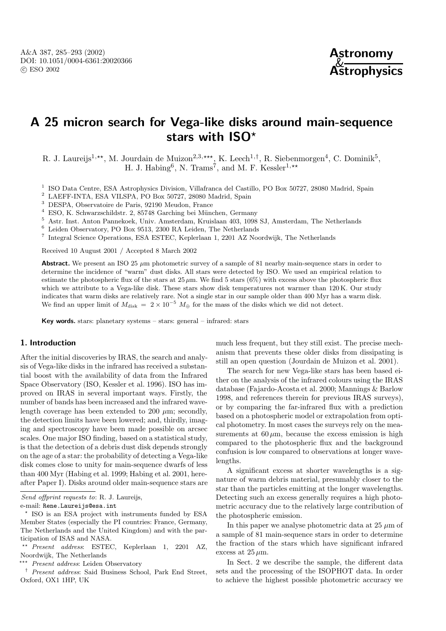

# **A 25 micron search for Vega-like disks around main-sequence stars with ISO***?*

R. J. Laureijs<sup>1,\*\*</sup>, M. Jourdain de Muizon<sup>2,3,\*\*\*</sup>, K. Leech<sup>1,†</sup>, R. Siebenmorgen<sup>4</sup>, C. Dominik<sup>5</sup>, H. J. Habing<sup>6</sup>, N. Trams<sup>7</sup>, and M. F. Kessler<sup>1,\*\*</sup>

<sup>1</sup> ISO Data Centre, ESA Astrophysics Division, Villafranca del Castillo, PO Box 50727, 28080 Madrid, Spain

 $^2$  LAEFF-INTA, ESA VILSPA, PO Box 50727, 28080 Madrid, Spain

<sup>3</sup> DESPA, Observatoire de Paris, 92190 Meudon, France

 $^4\,$  ESO, K. Schwarzschildstr. 2, 85748 Garching bei München, Germany

<sup>5</sup> Astr. Inst. Anton Pannekoek, Univ. Amsterdam, Kruislaan 403, 1098 SJ, Amsterdam, The Netherlands

 $^6$  Leiden Observatory, PO Box 9513, 2300 RA Leiden, The Netherlands

<sup>7</sup> Integral Science Operations, ESA ESTEC, Keplerlaan 1, 2201 AZ Noordwijk, The Netherlands

Received 10 August 2001 / Accepted 8 March 2002

**Abstract.** We present an ISO 25  $\mu$ m photometric survey of a sample of 81 nearby main-sequence stars in order to determine the incidence of "warm" dust disks. All stars were detected by ISO. We used an empirical relation to estimate the photospheric flux of the stars at  $25 \mu m$ . We find 5 stars (6%) with excess above the photospheric flux which we attribute to a Vega-like disk. These stars show disk temperatures not warmer than  $120 \text{ K}$ . Our study indicates that warm disks are relatively rare. Not a single star in our sample older than 400 Myr has a warm disk. We find an upper limit of  $M_{\text{disk}} = 2 \times 10^{-5} M_{\oplus}$  for the mass of the disks which we did not detect.

**Key words.** stars: planetary systems – stars: general – infrared: stars

# **1. Introduction**

After the initial discoveries by IRAS, the search and analysis of Vega-like disks in the infrared has received a substantial boost with the availability of data from the Infrared Space Observatory (ISO, Kessler et al. 1996). ISO has improved on IRAS in several important ways. Firstly, the number of bands has been increased and the infrared wavelength coverage has been extended to 200  $\mu$ m; secondly, the detection limits have been lowered; and, thirdly, imaging and spectroscopy have been made possible on arcsec scales. One major ISO finding, based on a statistical study, is that the detection of a debris dust disk depends strongly on the age of a star: the probability of detecting a Vega-like disk comes close to unity for main-sequence dwarfs of less than 400 Myr (Habing et al. 1999; Habing et al. 2001, hereafter Paper I). Disks around older main-sequence stars are much less frequent, but they still exist. The precise mechanism that prevents these older disks from dissipating is still an open question (Jourdain de Muizon et al. 2001).

The search for new Vega-like stars has been based either on the analysis of the infrared colours using the IRAS database (Fajardo-Acosta et al. 2000; Mannings & Barlow 1998, and references therein for previous IRAS surveys), or by comparing the far-infrared flux with a prediction based on a photospheric model or extrapolation from optical photometry. In most cases the surveys rely on the measurements at  $60 \mu m$ , because the excess emission is high compared to the photospheric flux and the background confusion is low compared to observations at longer wavelengths.

A significant excess at shorter wavelengths is a signature of warm debris material, presumably closer to the star than the particles emitting at the longer wavelengths. Detecting such an excess generally requires a high photometric accuracy due to the relatively large contribution of the photospheric emission.

In this paper we analyse photometric data at  $25 \mu m$  of a sample of 81 main-sequence stars in order to determine the fraction of the stars which have significant infrared excess at  $25 \,\mu \mathrm{m}$ .

In Sect. 2 we describe the sample, the different data sets and the processing of the ISOPHOT data. In order to achieve the highest possible photometric accuracy we

Send offprint requests to: R. J. Laureijs,

e-mail: Rene.Laureijs@esa.int

<sup>?</sup> ISO is an ESA project with instruments funded by ESA Member States (especially the PI countries: France, Germany, The Netherlands and the United Kingdom) and with the participation of ISAS and NASA.

<sup>??</sup> Present address: ESTEC, Keplerlaan 1, 2201 AZ, Noordwijk, The Netherlands

<sup>\*\*\*</sup> *Present address*: Leiden Observatory

<sup>†</sup> Present address: Said Business School, Park End Street, Oxford, OX1 1HP, UK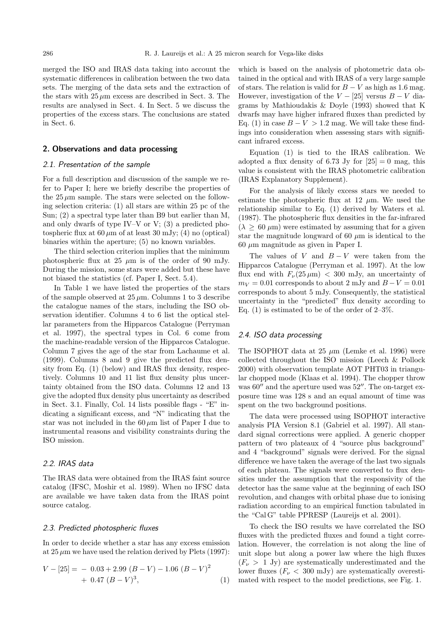merged the ISO and IRAS data taking into account the systematic differences in calibration between the two data sets. The merging of the data sets and the extraction of the stars with  $25 \mu m$  excess are described in Sect. 3. The results are analysed in Sect. 4. In Sect. 5 we discuss the properties of the excess stars. The conclusions are stated in Sect. 6.

# **2. Observations and data processing**

# 2.1. Presentation of the sample

For a full description and discussion of the sample we refer to Paper I; here we briefly describe the properties of the  $25 \mu m$  sample. The stars were selected on the following selection criteria: (1) all stars are within 25 pc of the Sun; (2) a spectral type later than B9 but earlier than M, and only dwarfs of type IV–V or V;  $(3)$  a predicted photospheric flux at  $60 \mu m$  of at least 30 mJy; (4) no (optical) binaries within the aperture; (5) no known variables.

The third selection criterion implies that the minimum photospheric flux at 25  $\mu$ m is of the order of 90 mJy. During the mission, some stars were added but these have not biased the statistics (cf. Paper I, Sect. 5.4).

In Table 1 we have listed the properties of the stars of the sample observed at  $25 \mu m$ . Columns 1 to 3 describe the catalogue names of the stars, including the ISO observation identifier. Columns 4 to 6 list the optical stellar parameters from the Hipparcos Catalogue (Perryman et al. 1997), the spectral types in Col. 6 come from the machine-readable version of the Hipparcos Catalogue. Column 7 gives the age of the star from Lachaume et al. (1999). Columns 8 and 9 give the predicted flux density from Eq. (1) (below) and IRAS flux density, respectively. Columns 10 and 11 list flux density plus uncertainty obtained from the ISO data. Columns 12 and 13 give the adopted flux density plus uncertainty as described in Sect. 3.1. Finally, Col. 14 lists possible flags - "E" indicating a significant excess, and "N" indicating that the star was not included in the  $60 \mu m$  list of Paper I due to instrumental reasons and visibility constraints during the ISO mission.

# 2.2. IRAS data

The IRAS data were obtained from the IRAS faint source catalog (IFSC, Moshir et al. 1989). When no IFSC data are available we have taken data from the IRAS point source catalog.

#### 2.3. Predicted photospheric fluxes

In order to decide whether a star has any excess emission at  $25 \mu m$  we have used the relation derived by Plets (1997):

$$
V - [25] = -0.03 + 2.99 (B - V) - 1.06 (B - V)^{2}
$$
  
+ 0.47 (B - V)<sup>3</sup>, (1)

which is based on the analysis of photometric data obtained in the optical and with IRAS of a very large sample of stars. The relation is valid for  $B - V$  as high as 1.6 mag. However, investigation of the  $V - [25]$  versus  $B - V$  diagrams by Mathioudakis & Doyle (1993) showed that K dwarfs may have higher infrared fluxes than predicted by Eq. (1) in case  $B - V > 1.2$  mag. We will take these findings into consideration when assessing stars with significant infrared excess.

Equation (1) is tied to the IRAS calibration. We adopted a flux density of 6.73 Jy for  $[25] = 0$  mag, this value is consistent with the IRAS photometric calibration (IRAS Explanatory Supplement).

For the analysis of likely excess stars we needed to estimate the photospheric flux at 12  $\mu$ m. We used the relationship similar to Eq. (1) derived by Waters et al. (1987). The photospheric flux densities in the far-infrared  $(\lambda > 60 \,\mu\text{m})$  were estimated by assuming that for a given star the magnitude longward of 60  $\mu$ m is identical to the 60  $\mu$ m magnitude as given in Paper I.

The values of V and  $B - V$  were taken from the Hipparcos Catalogue (Perryman et al. 1997). At the low flux end with  $F_{\nu}(25 \,\mu\text{m}) < 300 \text{ mJy}$ , an uncertainty of  $m_V = 0.01$  corresponds to about 2 mJy and  $B - V = 0.01$ corresponds to about 5 mJy. Consequently, the statistical uncertainty in the "predicted" flux density according to Eq.  $(1)$  is estimated to be of the order of  $2-3\%$ .

# 2.4. ISO data processing

The ISOPHOT data at 25  $\mu$ m (Lemke et al. 1996) were collected throughout the ISO mission (Leech & Pollock 2000) with observation template AOT PHT03 in triangular chopped mode (Klaas et al. 1994). The chopper throw was  $60''$  and the aperture used was  $52''$ . The on-target exposure time was 128 s and an equal amount of time was spent on the two background positions.

The data were processed using ISOPHOT interactive analysis PIA Version 8.1 (Gabriel et al. 1997). All standard signal corrections were applied. A generic chopper pattern of two plateaux of 4 "source plus background" and 4 "background" signals were derived. For the signal difference we have taken the average of the last two signals of each plateau. The signals were converted to flux densities under the assumption that the responsivity of the detector has the same value at the beginning of each ISO revolution, and changes with orbital phase due to ionising radiation according to an empirical function tabulated in the "Cal G" table PPRESP (Laureijs et al. 2001).

To check the ISO results we have correlated the ISO fluxes with the predicted fluxes and found a tight correlation. However, the correlation is not along the line of unit slope but along a power law where the high fluxes  $(F_{\nu} > 1$  Jy) are systematically underestimated and the lower fluxes  $(F_{\nu} < 300 \text{ mJy})$  are systematically overestimated with respect to the model predictions, see Fig. 1.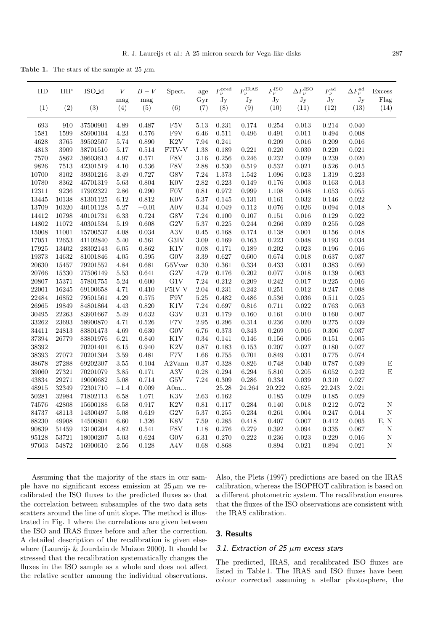**Table 1.** The stars of the sample at 25  $\mu$ m.

| HD    | HIP   | ISO_id   | $\boldsymbol{V}$ | $B-V$      | Spect.              | age        | $F_{\nu}^{\rm pred}$ | $F_{\nu}^{\mathrm{IRAS}}$ | $F_{\nu}^{\mathrm{ISO}}$ | $\Delta F_{\nu}^{\mathrm{ISO}}$ | $F_{\nu}^{\rm ad}$ | $\Delta F_{\nu}^{\rm ad}$ | <b>Excess</b>      |
|-------|-------|----------|------------------|------------|---------------------|------------|----------------------|---------------------------|--------------------------|---------------------------------|--------------------|---------------------------|--------------------|
| (1)   | (2)   | (3)      | mag<br>(4)       | mag<br>(5) | (6)                 | Gyr<br>(7) | Jy<br>(8)            | Jy<br>(9)                 | Jy<br>(10)               | Jy<br>(11)                      | Jy<br>(12)         | Jy<br>(13)                | Flag<br>(14)       |
| 693   | 910   | 37500901 | 4.89             | 0.487      | F <sub>5</sub> V    | 5.13       | 0.231                | 0.174                     | 0.254                    | 0.013                           | 0.214              | 0.040                     |                    |
| 1581  | 1599  | 85900104 | 4.23             | 0.576      | F9V                 | 6.46       | 0.511                | 0.496                     | 0.491                    | $0.011\,$                       | 0.494              | 0.008                     |                    |
| 4628  | 3765  | 39502507 | 5.74             | 0.890      | $\rm K2V$           | 7.94       | 0.241                |                           | 0.209                    | 0.016                           | 0.209              | 0.016                     |                    |
| 4813  | 3909  | 38701510 | 5.17             | 0.514      | F7IV-V              | 1.38       | 0.189                | 0.221                     | 0.220                    | 0.030                           | 0.220              | 0.021                     |                    |
| 7570  | 5862  | 38603613 | 4.97             | 0.571      | F8V                 | $3.16\,$   | 0.256                | 0.246                     | 0.232                    | 0.029                           | 0.239              | 0.020                     |                    |
| 9826  | 7513  | 42301519 | 4.10             | 0.536      | F8V                 | 2.88       | 0.530                | 0.519                     | $\,0.532\,$              | 0.021                           | $0.526\,$          | 0.015                     |                    |
| 10700 | 8102  | 39301216 | 3.49             | 0.727      | G8V                 | 7.24       | 1.373                | 1.542                     | 1.096                    | $\,0.023\,$                     | 1.319              | 0.223                     |                    |
| 10780 | 8362  | 45701319 | 5.63             | 0.804      | K <sub>0</sub> V    | 2.82       | 0.223                | 0.149                     | 0.176                    | 0.003                           | 0.163              | 0.013                     |                    |
| 12311 | 9236  | 17902322 | 2.86             | 0.290      | F0V                 | 0.81       | 0.972                | 0.999                     | 1.108                    | 0.048                           | $1.053\,$          | 0.055                     |                    |
| 13445 | 10138 | 81301125 | 6.12             | 0.812      | $\rm K0V$           | 5.37       | 0.145                | $0.131\,$                 | 0.161                    | $\,0.032\,$                     | 0.146              | 0.022                     |                    |
| 13709 | 10320 | 40101128 | 5.27             | $-0.01$    | A0V                 | 0.34       | 0.049                | 0.112                     | 0.076                    | 0.026                           | 0.094              | 0.018                     | Ν                  |
| 14412 | 10798 | 40101731 | 6.33             | 0.724      | ${\rm G8V}$         | 7.24       | 0.100                | 0.107                     | 0.151                    | 0.016                           | 0.129              | 0.022                     |                    |
| 14802 | 11072 | 40301534 | $5.19\,$         | 0.608      | G2V                 | 5.37       | 0.225                | 0.244                     | 0.266                    | 0.039                           | 0.255              | 0.028                     |                    |
| 15008 | 11001 | 15700537 | 4.08             | 0.034      | $\rm A3V$           | 0.45       | 0.168                | 0.174                     | 0.138                    | $0.001\,$                       | 0.156              | 0.018                     |                    |
| 17051 | 12653 | 41102840 | 5.40             | 0.561      | G3IV                | 3.09       | 0.169                | 0.163                     | 0.223                    | 0.048                           | 0.193              | 0.034                     |                    |
| 17925 | 13402 | 28302143 | 6.05             | 0.862      | K1V                 | 0.08       | 0.171                | 0.189                     | 0.202                    | 0.023                           | 0.196              | 0.016                     |                    |
| 19373 | 14632 | 81001846 | 4.05             | 0.595      | G0V                 | 3.39       | 0.627                | 0.600                     | 0.674                    | 0.018                           | 0.637              | 0.037                     |                    |
| 20630 | 15457 | 79201552 | 4.84             | 0.681      | G5Vvar              | 0.30       | 0.361                | 0.334                     | 0.433                    | 0.031                           | 0.383              | 0.050                     |                    |
| 20766 | 15330 | 27506149 | 5.53             | 0.641      | G2V                 | 4.79       | 0.176                | $0.202\,$                 | 0.077                    | 0.018                           | 0.139              | 0.063                     |                    |
| 20807 | 15371 | 57801755 | 5.24             | 0.600      | ${\rm G1V}$         | 7.24       | 0.212                | 0.209                     | 0.242                    | 0.017                           | 0.225              | 0.016                     |                    |
| 22001 | 16245 | 69100658 | 4.71             | 0.410      | F5IV-V              | 2.04       | 0.231                | 0.242                     | 0.251                    | 0.012                           | 0.247              | 0.008                     |                    |
| 22484 | 16852 | 79501561 | 4.29             | 0.575      | F9V                 | 5.25       | 0.482                | 0.486                     | 0.536                    | $\,0.036\,$                     | 0.511              | 0.025                     |                    |
| 26965 | 19849 | 84801864 | 4.43             | 0.820      | K1V                 | 7.24       | 0.697                | 0.816                     | 0.711                    | 0.022                           | 0.763              | 0.053                     |                    |
| 30495 | 22263 | 83901667 | 5.49             | 0.632      | G3V                 | 0.21       | 0.179                | 0.160                     | 0.161                    | 0.010                           | 0.160              | 0.007                     |                    |
| 33262 | 23693 | 58900870 | 4.71             | 0.526      | F7V                 | 2.95       | 0.296                | 0.314                     | 0.236                    | 0.020                           | 0.275              | 0.039                     |                    |
| 34411 | 24813 | 83801473 | 4.69             | 0.630      | G0V                 | 6.76       | 0.373                | 0.343                     | 0.269                    | 0.016                           | 0.306              | 0.037                     |                    |
| 37394 | 26779 | 83801976 | 6.21             | 0.840      | $\rm K1V$           | 0.34       | 0.141                | 0.146                     | 0.156                    | 0.006                           | 0.151              | 0.005                     |                    |
| 38392 |       | 70201401 | 6.15             | 0.940      | $\rm K2V$           | 0.87       | 0.183                | 0.153                     | 0.207                    | 0.027                           | 0.180              | 0.027                     |                    |
| 38393 | 27072 | 70201304 | 3.59             | 0.481      | F7V                 | 1.66       | 0.755                | 0.701                     | 0.849                    | 0.031                           | 0.775              | 0.074                     |                    |
| 38678 | 27288 | 69202307 | $3.55\,$         | 0.104      | A <sub>2</sub> Vann | 0.37       | 0.328                | 0.826                     | 0.748                    | 0.040                           | 0.787              | 0.039                     | ${\rm E}$          |
| 39060 | 27321 | 70201079 | 3.85             | 0.171      | A3V                 | 0.28       | 0.294                | 6.294                     | 5.810                    | 0.205                           | $6.052\,$          | 0.242                     | $\mathbf E$        |
| 43834 | 29271 | 19000682 | 5.08             | 0.714      | ${\rm G5V}$         | 7.24       | 0.309                | 0.286                     | 0.334                    | 0.039                           | 0.310              | 0.027                     |                    |
| 48915 | 32349 | 72301710 | $-1.4$           | 0.009      | $\rm{A0m}$          |            | 25.28                | 24.264                    | 20.222                   | 0.625                           | 22.243             | 2.021                     |                    |
| 50281 | 32984 | 71802113 | 6.58             | 1.071      | K3V                 | 2.63       | 0.162                |                           | 0.185                    | 0.029                           | 0.185              | 0.029                     |                    |
| 74576 | 42808 | 15600188 | 6.58             | 0.917      | $\rm K2V$           | 0.81       | 0.117                | 0.284                     | 0.140                    | $0.018\,$                       | 0.212              | 0.072                     | ${\rm N}$          |
| 84737 | 48113 | 14300497 | 5.08             | 0.619      | G2V                 | 5.37       | 0.255                | $\,0.234\,$               | 0.261                    | 0.004                           | 0.247              | $\,0.014\,$               | $\mathbf N$        |
| 88230 | 49908 | 14500801 | 6.60             | 1.326      | K8V                 | 7.59       | 0.285                | 0.418                     | 0.407                    | 0.007                           | 0.412              | 0.005                     | E, N               |
| 90839 | 51459 | 13100204 | 4.82             | 0.541      | ${\rm F8V}$         | 1.18       | 0.276                | 0.279                     | 0.392                    | 0.094                           | 0.335              | 0.067                     | ${\bf N}$          |
| 95128 | 53721 | 18000207 | $5.03\,$         | 0.624      | ${\rm GOV}$         | 6.31       | 0.270                | $0.222\,$                 | 0.236                    | 0.023                           | 0.229              | 0.016                     | ${\rm N}$          |
| 97603 | 54872 | 16900610 | 2.56             | 0.128      | A4V                 | 0.68       | 0.868                |                           | 0.894                    | 0.021                           | 0.894              | 0.021                     | $\overline{\rm N}$ |
|       |       |          |                  |            |                     |            |                      |                           |                          |                                 |                    |                           |                    |

Assuming that the majority of the stars in our sample have no significant excess emission at  $25 \mu m$  we recalibrated the ISO fluxes to the predicted fluxes so that the correlation between subsamples of the two data sets scatters around the line of unit slope. The method is illustrated in Fig. 1 where the correlations are given between the ISO and IRAS fluxes before and after the correction. A detailed description of the recalibration is given elsewhere (Laureijs & Jourdain de Muizon 2000). It should be stressed that the recalibration systematically changes the fluxes in the ISO sample as a whole and does not affect the relative scatter amoung the individual observations.

Also, the Plets (1997) predictions are based on the IRAS calibration, whereas the ISOPHOT calibration is based on a different photometric system. The recalibration ensures that the fluxes of the ISO observations are consistent with the IRAS calibration.

# **3. Results**

#### 3.1. Extraction of 25  $\mu$ m excess stars

The predicted, IRAS, and recalibrated ISO fluxes are listed in Table 1. The IRAS and ISO fluxes have been colour corrected assuming a stellar photosphere, the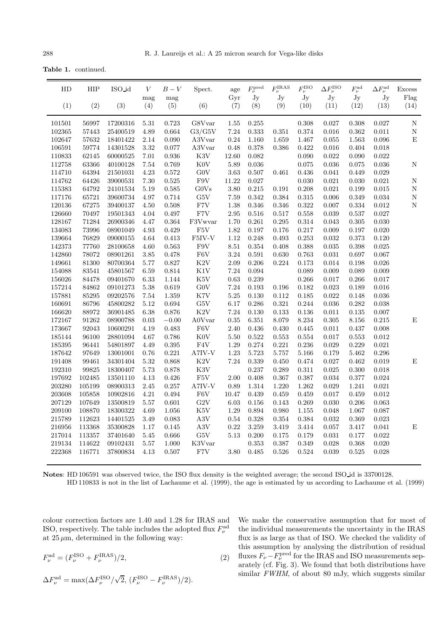**Table 1.** continued.

| HD     | <b>HIP</b> | ISO id   | V          | $B-V$       | Spect.                 | age        | $F_{\nu}^{\text{pred}}$ | $F_{\nu}^{\text{IRAS}}$ | $F_{\nu}^{\mathrm{ISO}}$ | $\Delta F_{\nu}^{\mathrm{ISO}}$ | $F_{\nu}^{\rm ad}$ | $\Delta F_{\nu}^{\rm ad}$ | <b>Excess</b> |
|--------|------------|----------|------------|-------------|------------------------|------------|-------------------------|-------------------------|--------------------------|---------------------------------|--------------------|---------------------------|---------------|
| (1)    | (2)        | (3)      | mag<br>(4) | mag<br>(5)  | (6)                    | Gyr<br>(7) | Jy<br>(8)               | Jy<br>(9)               | Jy<br>(10)               | Jy<br>(11)                      | Jy<br>(12)         | Jy<br>(13)                | Flag<br>(14)  |
| 101501 | 56997      | 17200316 | 5.31       | 0.723       | G8Vvar                 | 1.55       | 0.255                   |                         | 0.308                    | 0.027                           | 0.308              | 0.027                     | ${\rm N}$     |
| 102365 | 57443      | 25400519 | 4.89       | 0.664       | G3/G5V                 | 7.24       | $\,0.333\,$             | 0.351                   | 0.374                    | $0.016\,$                       | 0.362              | $0.011\,$                 | $\mathbf N$   |
| 102647 | 57632      | 18401422 | 2.14       | 0.090       | A3Vvar                 | 0.24       | 1.160                   | 1.659                   | 1.467                    | 0.055                           | 1.563              | 0.096                     | ${\bf E}$     |
| 106591 | 59774      | 14301528 | 3.32       | 0.077       | A3Vvar                 | 0.48       | 0.378                   | 0.386                   | 0.422                    | $0.016\,$                       | 0.404              | 0.018                     |               |
| 110833 | 62145      | 60000525 | 7.01       | 0.936       | $\rm K3V$              | 12.60      | 0.082                   |                         | 0.090                    | $\,0.022\,$                     | 0.090              | 0.022                     |               |
| 112758 | 63366      | 40100128 | 7.54       | 0.769       | $\rm K0V$              | 5.89       | 0.036                   |                         | 0.075                    | $\,0.036\,$                     | 0.075              | 0.036                     | ${\rm N}$     |
| 114710 | 64394      | 21501031 | 4.23       | $\,0.572\,$ | ${\rm GOV}$            | 3.63       | 0.507                   | 0.461                   | 0.436                    | $\,0.041\,$                     | 0.449              | 0.029                     |               |
| 114762 | 64426      | 39000531 | 7.30       | 0.525       | ${\rm F9V}$            | 11.22      | 0.027                   |                         | 0.030                    | $\,0.021\,$                     | 0.030              | 0.021                     | $\mathbf N$   |
| 115383 | 64792      | 24101534 | 5.19       | $\,0.585\,$ | G0Vs                   | 3.80       | 0.215                   | 0.191                   | 0.208                    | $\,0.021\,$                     | 0.199              | $\,0.015\,$               | ${\bf N}$     |
| 117176 | 65721      | 39600734 | 4.97       | $0.714\,$   | ${\rm G5V}$            | 7.59       | 0.342                   | 0.384                   | $\,0.315\,$              | $0.006\,$                       | 0.349              | 0.034                     | ${\rm N}$     |
| 120136 | 67275      | 39400137 | 4.50       | $0.508\,$   | F7V                    | 1.38       | 0.346                   | 0.346                   | 0.322                    | 0.007                           | 0.334              | 0.012                     | $\mathbf N$   |
| 126660 | 70497      | 19501343 | 4.04       | 0.497       | ${\rm F7V}$            | $2.95\,$   | 0.516                   | $0.517\,$               | 0.558                    | 0.039                           | 0.537              | $0.027\,$                 |               |
| 128167 | 71284      | 26900346 | 4.47       | $\,0.364\,$ | F3Vwvar                | 1.70       | 0.261                   | 0.295                   | 0.314                    | 0.043                           | 0.305              | 0.030                     |               |
| 134083 | 73996      | 08901049 | 4.93       | 0.429       | F <sub>5</sub> V       | 1.82       | 0.197                   | 0.176                   | 0.217                    | 0.009                           | 0.197              | 0.020                     |               |
| 139664 | 76829      | 09000155 | 4.64       | $\rm 0.413$ | ${\rm F5IV\text{-}V}$  | 1.12       | 0.248                   | 0.493                   | 0.253                    | $\,0.032\,$                     | 0.373              | 0.120                     |               |
| 142373 | 77760      | 28100658 | 4.60       | 0.563       | F9V                    | 8.51       | 0.354                   | 0.408                   | 0.388                    | 0.035                           | 0.398              | $\,0.025\,$               |               |
| 142860 | 78072      | 08901261 | 3.85       | 0.478       | ${\rm F6V}$            | 3.24       | 0.591                   | 0.630                   | 0.763                    | $\,0.031\,$                     | 0.697              | 0.067                     |               |
| 149661 | 81300      | 80700364 | 5.77       | 0.827       | $\rm K2V$              | 2.09       | 0.206                   | 0.224                   | 0.173                    | 0.014                           | 0.198              | 0.026                     |               |
| 154088 | 83541      | 45801567 | 6.59       | $\,0.814\,$ | K1V                    | 7.24       | 0.094                   |                         | 0.089                    | 0.009                           | 0.089              | 0.009                     |               |
| 156026 | 84478      | 09401670 | 6.33       | 1.144       | $\rm K5V$              | 0.63       | 0.239                   |                         | 0.266                    | 0.017                           | 0.266              | 0.017                     |               |
| 157214 | 84862      | 09101273 | 5.38       | 0.619       | ${\rm GOV}$            | 7.24       | $\rm 0.193$             | 0.196                   | 0.182                    | 0.023                           | 0.189              | 0.016                     |               |
| 157881 | 85295      | 09202576 | 7.54       | 1.359       | $\rm K7V$              | $5.25\,$   | 0.130                   | $0.112\,$               | 0.185                    | $\,0.022\,$                     | 0.148              | $\,0.036\,$               |               |
| 160691 | 86796      | 45800282 | 5.12       | $\,0.694\,$ | ${\rm G5V}$            | 6.17       | 0.286                   | 0.321                   | 0.244                    | $\,0.036\,$                     | 0.282              | 0.038                     |               |
| 166620 | 88972      | 36901485 | 6.38       | 0.876       | K2V                    | 7.24       | 0.130                   | 0.133                   | 0.136                    | $0.011\,$                       | 0.135              | 0.007                     |               |
| 172167 | 91262      | 08900788 | $\rm 0.03$ | $-0.00\,$   | $\operatorname{A0Var}$ | $0.35\,$   | 6.351                   | 8.079                   | 8.234                    | $0.305\,$                       | 8.156              | $\rm 0.215$               | E             |
| 173667 | 92043      | 10600291 | 4.19       | 0.483       | F6V                    | 2.40       | 0.436                   | 0.430                   | 0.445                    | 0.011                           | 0.437              | 0.008                     |               |
| 185144 | 96100      | 28801094 | 4.67       | 0.786       | $\rm K0V$              | 5.50       | 0.522                   | 0.553                   | 0.554                    | 0.017                           | 0.553              | $\,0.012\,$               |               |
| 185395 | 96441      | 54801897 | 4.49       | 0.395       | ${\rm F4V}$            | 1.29       | 0.274                   | 0.221                   | 0.236                    | 0.029                           | 0.229              | 0.021                     |               |
| 187642 | 97649      | 13001001 | 0.76       | 0.221       | $A7IV-V$               | 1.23       | 5.723                   | 5.757                   | 5.166                    | 0.179                           | 5.462              | 0.296                     |               |
| 191408 | 99461      | 34301404 | 5.32       | 0.868       | $\rm K2V$              | 7.24       | 0.339                   | 0.450                   | 0.474                    | 0.027                           | 0.462              | 0.019                     | ${\bf E}$     |
| 192310 | 99825      | 18300407 | 5.73       | 0.878       | K3V                    |            | 0.237                   | 0.289                   | 0.311                    | $\,0.025\,$                     | 0.300              | 0.018                     |               |
| 197692 | 102485     | 13501110 | 4.13       | 0.426       | ${\rm F5V}$            | 2.00       | 0.408                   | 0.367                   | 0.387                    | $\,0.034\,$                     | 0.377              | $\,0.024\,$               |               |
| 203280 | 105199     | 08900313 | 2.45       | 0.257       | $A7IV-V$               | 0.89       | 1.314                   | 1.220                   | 1.262                    | 0.029                           | 1.241              | 0.021                     |               |
| 203608 | 105858     | 10902816 | 4.21       | $\,0.494\,$ | ${\rm F6V}$            | 10.47      | 0.439                   | 0.459                   | 0.459                    | 0.017                           | 0.459              | 0.012                     |               |
| 207129 | 107649     | 13500819 | $5.57\,$   | $0.601\,$   | $\mbox{G2V}$           | $6.03\,$   | 0.156                   | $\,0.143\,$             | 0.269                    | $0.030\,$                       | 0.206              | 0.063                     |               |
| 209100 | 108870     | 18300322 | 4.69       | $1.056\,$   | $\rm K5V$              | 1.29       | 0.894                   | 0.980                   | $1.155\,$                | 0.048                           | 1.067              | 0.087                     |               |
| 215789 | 112623     | 14401525 | 3.49       | 0.083       | $\rm A3V$              | $0.54\,$   | 0.328                   | 0.354                   | 0.384                    | $\,0.032\,$                     | 0.369              | 0.023                     |               |
| 216956 | 113368     | 35300828 | 1.17       | 0.145       | $\rm A3V$              | 0.22       | 3.259                   | 3.419                   | 3.414                    | 0.057                           | 3.417              | 0.041                     | ${\bf E}$     |
| 217014 | 113357     | 37401640 | 5.45       | 0.666       | ${\rm G5V}$            | 5.13       | 0.200                   | 0.175                   | 0.179                    | 0.031                           | 0.177              | 0.022                     |               |
| 219134 | 114622     | 09102431 | $5.57\,$   | $1.000\,$   | K3Vvar                 |            | 0.353                   | 0.387                   | 0.349                    | 0.028                           | 0.368              | $0.020\,$                 |               |
| 222368 | 116771     | 37800834 | 4.13       | 0.507       | F7V                    | 3.80       | 0.485                   | 0.526                   | 0.524                    | 0.039                           | 0.525              | 0.028                     |               |
|        |            |          |            |             |                        |            |                         |                         |                          |                                 |                    |                           |               |

**Notes**: HD 106591 was observed twice, the ISO flux density is the weighted average; the second ISO id is 33700128. HD 110833 is not in the list of Lachaume et al. (1999), the age is estimated by us according to Lachaume et al. (1999)

colour correction factors are 1.40 and 1.28 for IRAS and ISO, respectively. The table includes the adopted flux  $F_{\nu}^{\rm ad}$ at  $25 \mu m$ , determined in the following way:

$$
F_{\nu}^{\rm ad} = (F_{\nu}^{\rm ISO} + F_{\nu}^{\rm IRAS})/2,
$$
\n(2)

$$
\Delta F_{\nu}^{\rm ad} = \max(\Delta F_{\nu}^{\rm ISO}/\sqrt{2},\,(F_{\nu}^{\rm ISO}-F_{\nu}^{\rm IRAS})/2).
$$

We make the conservative assumption that for most of the individual measurements the uncertainty in the IRAS flux is as large as that of ISO. We checked the validity of this assumption by analysing the distribution of residual fluxes  $F_{\nu} - F_{\nu}^{\text{pred}}$  for the IRAS and ISO measurements separately (cf. Fig. 3). We found that both distributions have similar FWHM, of about 80 mJy, which suggests similar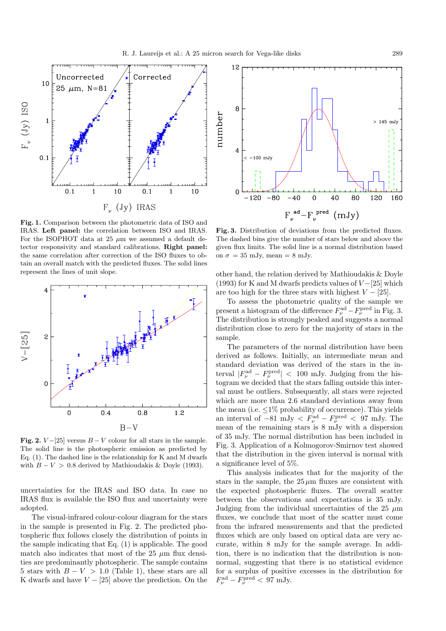

**Fig. 1.** Comparison between the photometric data of ISO and IRAS. **Left panel:** the correlation between ISO and IRAS. For the ISOPHOT data at 25  $\mu$ m we assumed a default detector responsivity and standard calibrations. **Right panel:** the same correlation after correction of the ISO fluxes to obtain an overall match with the predicted fluxes. The solid lines represent the lines of unit slope.



**Fig. 2.**  $V - [25]$  versus  $B - V$  colour for all stars in the sample. The solid line is the photospheric emission as predicted by Eq. (1). The dashed line is the relationship for K and M dwarfs with  $B - V > 0.8$  derived by Mathioudakis & Doyle (1993).

uncertainties for the IRAS and ISO data. In case no IRAS flux is available the ISO flux and uncertainty were adopted.

The visual-infrared colour-colour diagram for the stars in the sample is presented in Fig. 2. The predicted photospheric flux follows closely the distribution of points in the sample indicating that Eq. (1) is applicable. The good match also indicates that most of the 25  $\mu$ m flux densities are predominantly photospheric. The sample contains 5 stars with  $B - V > 1.0$  (Table 1), these stars are all K dwarfs and have  $V - [25]$  above the prediction. On the



**Fig. 3.** Distribution of deviations from the predicted fluxes. The dashed bins give the number of stars below and above the given flux limits. The solid line is a normal distribution based on  $\sigma = 35$  mJy, mean = 8 mJy.

other hand, the relation derived by Mathioudakis & Doyle (1993) for K and M dwarfs predicts values of  $V - [25]$  which are too high for the three stars with highest  $V - [25]$ .

To assess the photometric quality of the sample we present a histogram of the difference  $F_{\nu}^{\text{ad}} - F_{\nu}^{\text{pred}}$  in Fig. 3. The distribution is strongly peaked and suggests a normal distribution close to zero for the majority of stars in the sample.

The parameters of the normal distribution have been derived as follows. Initially, an intermediate mean and standard deviation was derived of the stars in the interval  $|F_{\nu}^{\text{ad}} - F_{\nu}^{\text{pred}}|$  < 100 mJy. Judging from the histogram we decided that the stars falling outside this interval must be outliers. Subsequently, all stars were rejected which are more than 2.6 standard deviations away from the mean (i.e.  $\leq 1\%$  probability of occurrence). This yields an interval of  $-81 \text{ mJy} < F_{\nu}^{\text{ad}} - F_{\nu}^{\text{pred}} < 97 \text{ mJy}$ . The mean of the remaining stars is 8 mJy with a dispersion of 35 mJy. The normal distribution has been included in Fig. 3. Application of a Kolmogorov-Smirnov test showed that the distribution in the given interval is normal with a significance level of 5%.

This analysis indicates that for the majority of the stars in the sample, the  $25 \mu m$  fluxes are consistent with the expected photospheric fluxes. The overall scatter between the observations and expectations is 35 mJy. Judging from the individual uncertainties of the 25  $\mu$ m fluxes, we conclude that most of the scatter must come from the infrared measurements and that the predicted fluxes which are only based on optical data are very accurate, within 8 mJy for the sample average. In addition, there is no indication that the distribution is nonnormal, suggesting that there is no statistical evidence for a surplus of positive excesses in the distribution for  $F_{\nu}^{\text{ad}} - F_{\nu}^{\text{pred}} < 97 \text{ mJy}.$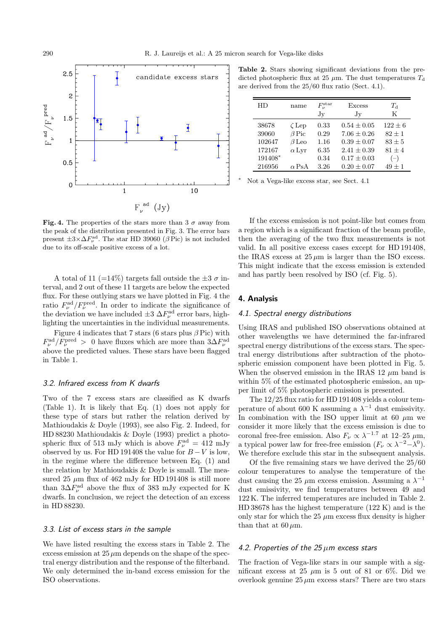**Fig. 4.** The properties of the stars more than  $3\sigma$  away from the peak of the distribution presented in Fig. 3. The error bars present  $\pm 3 \times \Delta F_{\nu}^{\text{ad}}$ . The star HD 39060 ( $\beta$  Pic) is not included due to its off-scale positive excess of a lot.

A total of 11 (=14%) targets fall outside the  $\pm 3\sigma$  interval, and 2 out of these 11 targets are below the expected flux. For these outlying stars we have plotted in Fig. 4 the ratio  $F_{\nu}^{\text{ad}}/F_{\nu}^{\text{pred}}$ . In order to indicate the significance of the deviation we have included  $\pm 3 \Delta F_{\nu}^{\text{ad}}$  error bars, highlighting the uncertainties in the individual measurements.

Figure 4 indicates that 7 stars (6 stars plus  $\beta$  Pic) with  $F_{\nu}^{\text{ad}}/F_{\nu}^{\text{pred}}$  > 0 have fluxes which are more than  $3\Delta F_{\nu}^{\text{ad}}$ above the predicted values. These stars have been flagged in Table 1.

### 3.2. Infrared excess from K dwarfs

Two of the 7 excess stars are classified as K dwarfs (Table 1). It is likely that Eq. (1) does not apply for these type of stars but rather the relation derived by Mathioudakis & Doyle (1993), see also Fig. 2. Indeed, for HD 88230 Mathioudakis & Doyle (1993) predict a photospheric flux of 513 mJy which is above  $F_{\nu}^{\rm ad} = 412$  mJy observed by us. For HD 191408 the value for  $B - V$  is low, in the regime where the difference between Eq. (1) and the relation by Mathioudakis & Doyle is small. The measured 25  $\mu$ m flux of 462 mJy for HD 191408 is still more than  $3\Delta F_{\nu}^{\text{ad}}$  above the flux of 383 mJy expected for K dwarfs. In conclusion, we reject the detection of an excess in HD 88230.

#### 3.3. List of excess stars in the sample

We have listed resulting the excess stars in Table 2. The excess emission at  $25 \mu m$  depends on the shape of the spectral energy distribution and the response of the filterband. We only determined the in-band excess emission for the ISO observations.

**Table 2.** Stars showing significant deviations from the predicted photospheric flux at 25  $\mu$ m. The dust temperatures  $T_d$ are derived from the 25/60 flux ratio (Sect. 4.1).

| HD                                            | name                                                      | $F_{\nu}^{\rm star}$<br>Jy           | Excess<br>Jy                                                                            | $T_A$<br>K                                             |
|-----------------------------------------------|-----------------------------------------------------------|--------------------------------------|-----------------------------------------------------------------------------------------|--------------------------------------------------------|
| 38678<br>39060<br>102647<br>172167<br>191408* | $\zeta$ Lep<br>$\beta$ Pic<br>$\beta$ Leo<br>$\alpha$ Lyr | 0.33<br>0.29<br>1.16<br>6.35<br>0.34 | $0.54 \pm 0.05$<br>$7.06 \pm 0.26$<br>$0.39 + 0.07$<br>$2.41 + 0.39$<br>$0.17 \pm 0.03$ | $122 + 6$<br>$82 + 1$<br>$83 + 5$<br>$81 + 4$<br>$(-)$ |
| 216956                                        | $\alpha$ PsA                                              | 3.26                                 | $0.20 \pm 0.07$                                                                         | $49 \pm 1$                                             |

<sup>∗</sup> Not a Vega-like excess star, see Sect. 4.1

If the excess emission is not point-like but comes from a region which is a significant fraction of the beam profile, then the averaging of the two flux measurements is not valid. In all positive excess cases except for HD 191408, the IRAS excess at  $25 \mu m$  is larger than the ISO excess. This might indicate that the excess emission is extended and has partly been resolved by ISO (cf. Fig. 5).

# **4. Analysis**

#### 4.1. Spectral energy distributions

Using IRAS and published ISO observations obtained at other wavelengths we have determined the far-infrared spectral energy distributions of the excess stars. The spectral energy distributions after subtraction of the photospheric emission component have been plotted in Fig. 5. When the observed emission in the IRAS 12  $\mu$ m band is within 5% of the estimated photospheric emission, an upper limit of 5% photospheric emission is presented.

The 12/25 flux ratio for HD 191408 yields a colour temperature of about 600 K assuming a  $\lambda^{-1}$  dust emissivity. In combination with the ISO upper limit at 60  $\mu$ m we consider it more likely that the excess emission is due to coronal free-free emission. Also  $F_{\nu} \propto \lambda^{-1.7}$  at 12–25  $\mu$ m, a typical power law for free-free emission  $(F_{\nu} \propto \lambda^{-2} - \lambda^{0}).$ We therefore exclude this star in the subsequent analysis.

Of the five remaining stars we have derived the 25/60 colour temperatures to analyse the temperature of the dust causing the 25  $\mu$ m excess emission. Assuming a  $\lambda^{-1}$ dust emissivity, we find temperatures between 49 and 122 K. The inferred temperatures are included in Table 2. HD 38678 has the highest temperature (122 K) and is the only star for which the  $25 \mu m$  excess flux density is higher than that at  $60 \mu m$ .

#### 4.2. Properties of the  $25 \mu m$  excess stars

The fraction of Vega-like stars in our sample with a significant excess at 25  $\mu$ m is 5 out of 81 or 6%. Did we overlook genuine  $25 \mu m$  excess stars? There are two stars

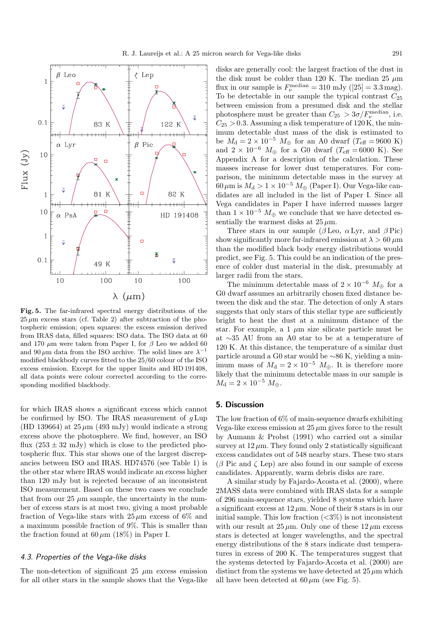

**Fig. 5.** The far-infrared spectral energy distributions of the  $25 \mu m$  excess stars (cf. Table 2) after subtraction of the photospheric emission; open squares: the excess emission derived from IRAS data, filled squares: ISO data. The ISO data at 60 and 170  $\mu$ m were taken from Paper I, for  $\beta$  Leo we added 60 and 90  $\mu$ m data from the ISO archive. The solid lines are  $\lambda^{-1}$ modified blackbody curves fitted to the 25/60 colour of the ISO excess emission. Except for the upper limits and HD 191408, all data points were colour corrected according to the corresponding modified blackbody.

for which IRAS shows a significant excess which cannot be confirmed by ISO. The IRAS measurement of  $q \text{Lup}$ (HD 139664) at  $25 \mu m$  (493 mJy) would indicate a strong excess above the photosphere. We find, however, an ISO flux  $(253 \pm 32 \text{ mJy})$  which is close to the predicted photospheric flux. This star shows one of the largest discrepancies between ISO and IRAS. HD74576 (see Table 1) is the other star where IRAS would indicate an excess higher than 120 mJy but is rejected because of an inconsistent ISO measurement. Based on these two cases we conclude that from our 25  $\mu$ m sample, the uncertainty in the number of excess stars is at most two, giving a most probable fraction of Vega-like stars with  $25 \mu m$  excess of 6% and a maximum possible fraction of 9%. This is smaller than the fraction found at  $60 \mu m$  (18%) in Paper I.

# 4.3. Properties of the Vega-like disks

The non-detection of significant 25  $\mu$ m excess emission for all other stars in the sample shows that the Vega-like disks are generally cool: the largest fraction of the dust in the disk must be colder than 120 K. The median 25  $\mu$ m flux in our sample is  $F_{\nu}^{\text{median}} = 310 \text{ mJy } ([25] = 3.3 \text{ mag}).$ To be detectable in our sample the typical contrast  $C_{25}$ between emission from a presumed disk and the stellar photosphere must be greater than  $C_{25} > 3\sigma/F_{\nu}^{\text{median}}$ , i.e.  $C_{25} > 0.3$ . Assuming a disk temperature of 120 K, the minimum detectable dust mass of the disk is estimated to be  $M_{\rm d} = 2 \times 10^{-5}$   $M_{\oplus}$  for an A0 dwarf ( $T_{\rm eff} = 9600$  K) and  $2 \times 10^{-6}$   $M_{\oplus}$  for a G0 dwarf ( $T_{\text{eff}} = 6000$  K). See Appendix A for a description of the calculation. These masses increase for lower dust temperatures. For comparison, the minimum detectable mass in the survey at  $60 \,\mu\mathrm{m}$  is  $M_{\rm d} > 1 \times 10^{-5} \, M_{\oplus}$  (Paper I). Our Vega-like candidates are all included in the list of Paper I. Since all Vega candidates in Paper I have inferred masses larger than  $1 \times 10^{-5}$  M<sub>⊕</sub> we conclude that we have detected essentially the warmest disks at  $25 \mu m$ .

Three stars in our sample ( $\beta$  Leo,  $\alpha$  Lyr, and  $\beta$  Pic) show significantly more far-infrared emission at  $\lambda > 60 \ \mu m$ than the modified black body energy distributions would predict, see Fig. 5. This could be an indication of the presence of colder dust material in the disk, presumably at larger radii from the stars.

The minimum detectable mass of  $2 \times 10^{-6}$  M<sub>⊕</sub> for a G0 dwarf assumes an arbitrarily chosen fixed distance between the disk and the star. The detection of only A stars suggests that only stars of this stellar type are sufficiently bright to heat the dust at a minimum distance of the star. For example, a 1  $\mu$ m size silicate particle must be at ∼35 AU from an A0 star to be at a temperature of 120 K. At this distance, the temperature of a similar dust particle around a G0 star would be ∼86 K, yielding a minimum mass of  $M_d = 2 \times 10^{-5}$   $M_{\oplus}$ . It is therefore more likely that the minimum detectable mass in our sample is  $M_{\rm d}=2\times10^{-5}~M_{\oplus}.$ 

# **5. Discussion**

The low fraction of 6% of main-sequence dwarfs exhibiting Vega-like excess emission at  $25 \mu m$  gives force to the result by Aumann & Probst (1991) who carried out a similar survey at  $12 \mu m$ . They found only 2 statistically significant excess candidates out of 548 nearby stars. These two stars  $(\beta$  Pic and  $\zeta$  Lep) are also found in our sample of excess candidates. Apparently, warm debris disks are rare.

A similar study by Fajardo-Acosta et al. (2000), where 2MASS data were combined with IRAS data for a sample of 296 main-sequence stars, yielded 8 systems which have a significant excess at  $12 \mu m$ . None of their 8 stars is in our initial sample. This low fraction  $( $3\%$ ) is not inconsistent$ with our result at  $25 \mu m$ . Only one of these  $12 \mu m$  excess stars is detected at longer wavelengths, and the spectral energy distributions of the 8 stars indicate dust temperatures in excess of 200 K. The temperatures suggest that the systems detected by Fajardo-Acosta et al. (2000) are distinct from the systems we have detected at  $25 \mu m$  which all have been detected at  $60 \mu m$  (see Fig. 5).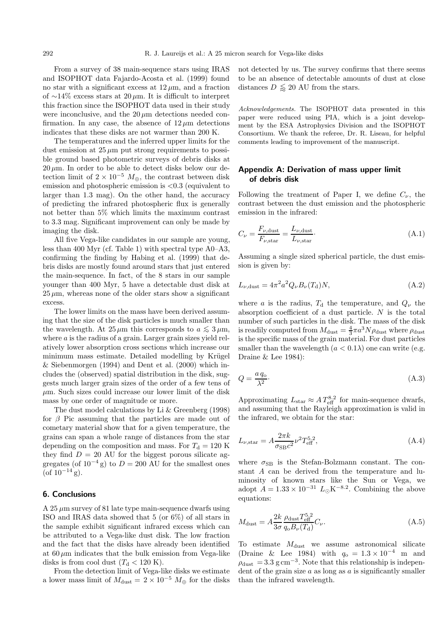From a survey of 38 main-sequence stars using IRAS and ISOPHOT data Fajardo-Acosta et al. (1999) found no star with a significant excess at  $12 \mu m$ , and a fraction of ∼14% excess stars at 20  $\mu$ m. It is difficult to interpret this fraction since the ISOPHOT data used in their study were inconclusive, and the  $20 \mu m$  detections needed confirmation. In any case, the absence of  $12 \mu m$  detections indicates that these disks are not warmer than 200 K.

The temperatures and the inferred upper limits for the dust emission at  $25 \mu m$  put strong requirements to possible ground based photometric surveys of debris disks at  $20 \,\mu \text{m}$ . In order to be able to detect disks below our detection limit of  $2 \times 10^{-5}$   $M_{\oplus}$ , the contrast between disk emission and photospheric emission is <0.3 (equivalent to larger than 1.3 mag). On the other hand, the accuracy of predicting the infrared photospheric flux is generally not better than 5% which limits the maximum contrast to 3.3 mag. Significant improvement can only be made by imaging the disk.

All five Vega-like candidates in our sample are young, less than 400 Myr (cf. Table 1) with spectral type A0–A3, confirming the finding by Habing et al. (1999) that debris disks are mostly found around stars that just entered the main-sequence. In fact, of the 8 stars in our sample younger than 400 Myr, 5 have a detectable dust disk at  $25 \mu m$ , whereas none of the older stars show a significant excess.

The lower limits on the mass have been derived assuming that the size of the disk particles is much smaller than the wavelength. At  $25 \mu m$  this corresponds to  $a \leq 3 \mu m$ , where  $a$  is the radius of a grain. Larger grain sizes yield relatively lower absorption cross sections which increase our minimum mass estimate. Detailed modelling by Krügel & Siebenmorgen (1994) and Dent et al. (2000) which includes the (observed) spatial distribution in the disk, suggests much larger grain sizes of the order of a few tens of  $\mu$ m. Such sizes could increase our lower limit of the disk mass by one order of magnitude or more.

The dust model calculations by Li & Greenberg (1998) for  $\beta$  Pic assuming that the particles are made out of cometary material show that for a given temperature, the grains can span a whole range of distances from the star depending on the composition and mass. For  $T<sub>d</sub> = 120$  K they find  $D = 20$  AU for the biggest porous silicate aggregates (of  $10^{-4}$  g) to  $D = 200$  AU for the smallest ones  $($ of 10<sup>-14</sup> g).

#### **6. Conclusions**

A 25  $\mu$ m survey of 81 late type main-sequence dwarfs using ISO and IRAS data showed that 5 (or 6%) of all stars in the sample exhibit significant infrared excess which can be attributed to a Vega-like dust disk. The low fraction and the fact that the disks have already been identified at  $60 \mu m$  indicates that the bulk emission from Vega-like disks is from cool dust  $(T<sub>d</sub> < 120 \text{ K})$ .

From the detection limit of Vega-like disks we estimate a lower mass limit of  $M_{\rm dust} = 2 \times 10^{-5}$   $M_{\oplus}$  for the disks not detected by us. The survey confirms that there seems to be an absence of detectable amounts of dust at close distances  $D \leq 20$  AU from the stars.

Acknowledgements. The ISOPHOT data presented in this paper were reduced using PIA, which is a joint development by the ESA Astrophysics Division and the ISOPHOT Consortium. We thank the referee, Dr. R. Liseau, for helpful comments leading to improvement of the manuscript.

# **Appendix A: Derivation of mass upper limit of debris disk**

Following the treatment of Paper I, we define  $C_{\nu}$ , the contrast between the dust emission and the photospheric emission in the infrared:

$$
C_{\nu} = \frac{F_{\nu, \text{dust}}}{F_{\nu, \text{star}}} = \frac{L_{\nu, \text{dust}}}{L_{\nu, \text{star}}}.
$$
\n(A.1)

Assuming a single sized spherical particle, the dust emission is given by:

$$
L_{\nu, \text{dust}} = 4\pi^2 a^2 Q_{\nu} B_{\nu}(T_{\text{d}}) N, \tag{A.2}
$$

where a is the radius,  $T_{d}$  the temperature, and  $Q_{\nu}$  the absorption coefficient of a dust particle. N is the total number of such particles in the disk. The mass of the disk is readily computed from  $M_{\text{dust}} = \frac{4}{3}\pi a^3 N \rho_{\text{dust}}$  where  $\rho_{\text{dust}}$ is the specific mass of the grain material. For dust particles smaller than the wavelength  $(a < 0.1\lambda)$  one can write (e.g. Draine & Lee 1984):

$$
Q = \frac{a q_0}{\lambda^2}.\tag{A.3}
$$

Approximating  $L_{\rm star} \approx A T_{\rm eff}^{8.2}$  for main-sequence dwarfs, and assuming that the Rayleigh approximation is valid in the infrared, we obtain for the star:

$$
L_{\nu, \text{star}} = A \frac{2\pi k}{\sigma_{\text{SBC}}^2} \nu^2 T_{\text{eff}}^{5.2}, \tag{A.4}
$$

where  $\sigma_{\rm SB}$  is the Stefan-Bolzmann constant. The constant A can be derived from the temperature and luminosity of known stars like the Sun or Vega, we adopt  $A = 1.33 \times 10^{-31}$   $L_{\odot}$ K<sup>-8.2</sup>. Combining the above equations:

$$
M_{\rm dust} = A \frac{2k}{3\sigma} \frac{\rho_{\rm dust} T_{\rm eff}^{5.2}}{q_{\rm o} B_{\nu}(T_{\rm d})} C_{\nu}.
$$
\n(A.5)

To estimate  $M_{\text{dust}}$  we assume astronomical silicate (Draine & Lee 1984) with  $q_0 = 1.3 \times 10^{-4}$  m and  $\rho_{\text{dust}} = 3.3 \text{ g cm}^{-3}$ . Note that this relationship is independent of the grain size  $a$  as long as  $a$  is significantly smaller than the infrared wavelength.